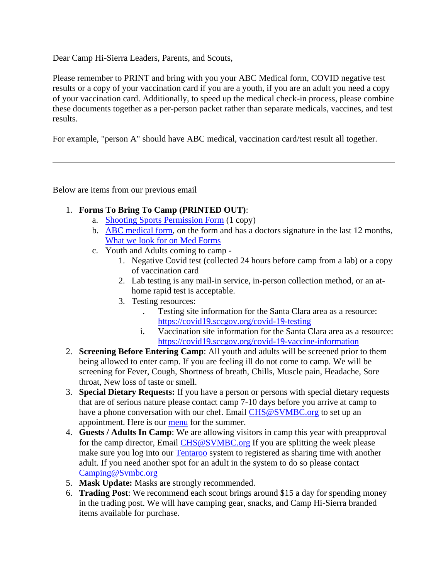Dear Camp Hi-Sierra Leaders, Parents, and Scouts,

Please remember to PRINT and bring with you your ABC Medical form, COVID negative test results or a copy of your vaccination card if you are a youth, if you are an adult you need a copy of your vaccination card. Additionally, to speed up the medical check-in process, please combine these documents together as a per-person packet rather than separate medicals, vaccines, and test results.

For example, "person A" should have ABC medical, vaccination card/test result all together.

Below are items from our previous email

- 1. **Forms To Bring To Camp (PRINTED OUT)**:
	- a. [Shooting Sports Permission Form](http://camphi-sierra.org/chs/wp-content/uploads/2019/06/Firearms-Permission2019.pdf) (1 copy)
	- b. [ABC medical form,](https://filestore.scouting.org/filestore/HealthSafety/pdf/680-001_ABC.pdf?_gl=1*1n3yfu7*_ga*NzA0NzgwMzMyLjE2MjIyMDkzMzY.*_ga_20G0JHESG4*MTYyNDM3MjUwMi44LjAuMTYyNDM3MjUwMi42MA..) on the form and has a doctors signature in the last 12 months, [What we look for on Med Forms](http://camphi-sierra.org/chs/wp-content/uploads/2021/06/AHMR-ABC-Mark-Up-1.pdf)
	- c. Youth and Adults coming to camp
		- 1. Negative Covid test (collected 24 hours before camp from a lab) or a copy of vaccination card
		- 2. Lab testing is any mail-in service, in-person collection method, or an athome rapid test is acceptable.
		- 3. Testing resources:
			- . Testing site information for the Santa Clara area as a resource: <https://covid19.sccgov.org/covid-19-testing>
			- i. Vaccination site information for the Santa Clara area as a resource: <https://covid19.sccgov.org/covid-19-vaccine-information>
- 2. **Screening Before Entering Camp**: All youth and adults will be screened prior to them being allowed to enter camp. If you are feeling ill do not come to camp. We will be screening for Fever, Cough, Shortness of breath, Chills, Muscle pain, Headache, Sore throat, New loss of taste or smell.
- 3. **Special Dietary Requests:** If you have a person or persons with special dietary requests that are of serious nature please contact camp 7-10 days before you arrive at camp to have a phone conversation with our chef. Email [CHS@SVMBC.org](mailto:CHS@SVMBC.org) to set up an appointment. Here is our [menu](http://camphi-sierra.org/chs/wp-content/uploads/2021/06/4Week-Menu.pdf.pdf) for the summer.
- 4. **Guests / Adults In Camp**: We are allowing visitors in camp this year with preapproval for the camp director, Email [CHS@SVMBC.org](mailto:CHS@SVMBC.org) If you are splitting the week please make sure you log into our [Tentaroo](https://siliconvalley.tentaroo.com/) system to registered as sharing time with another adult. If you need another spot for an adult in the system to do so please contact [Camping@Svmbc.org](mailto:Camping@Svmbc.org)
- 5. **Mask Update:** Masks are strongly recommended.
- 6. **Trading Post**: We recommend each scout brings around \$15 a day for spending money in the trading post. We will have camping gear, snacks, and Camp Hi-Sierra branded items available for purchase.